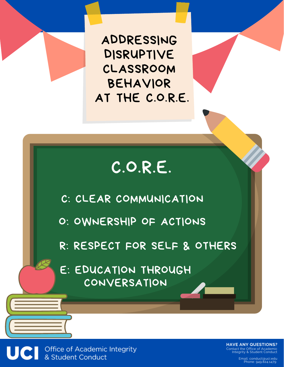ADDRESSING DISRUPTIVE CLASSROOM BEHAVIOR AT THE C.O.R.E.

# C.O.R.E.

C: CLEAR COMMUNICATION

O: OWNERSHIP OF ACTIONS

R: RESPECT FOR SELF & OTHERS

E: EDUCATION THROUGH CONVERSATION

Office of Academic Integrity<br>& Student Conduct

**HAVE ANY QUESTIONS?** Contact the Office of Academic Integrity & Student Conduct

> Email: conduct@uci.edu Phone: 949.824.1479